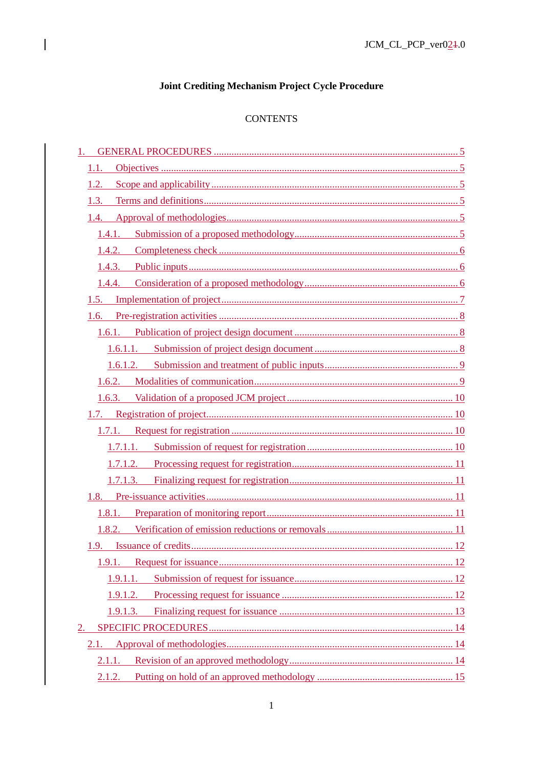# Joint Crediting Mechanism Project Cycle Procedure

 $\overline{\phantom{a}}$ 

# **CONTENTS**

| 1.       |
|----------|
| 1.1.     |
| 1.2.     |
| 1.3.     |
| 1.4.     |
| 1.4.1.   |
| 1.4.2.   |
| 1.4.3.   |
| 1.4.4.   |
| 1.5.     |
| 1.6.     |
| 1.6.1.   |
|          |
|          |
|          |
|          |
|          |
|          |
|          |
|          |
| 1.7.1.3. |
| 1.8.     |
| 1.8.1.   |
|          |
|          |
| 1.9.1.   |
| 1.9.1.1. |
| 1.9.1.2. |
| 1.9.1.3. |
| 2.       |
| 2.1.     |
| 2.1.1.   |
| 2.1.2.   |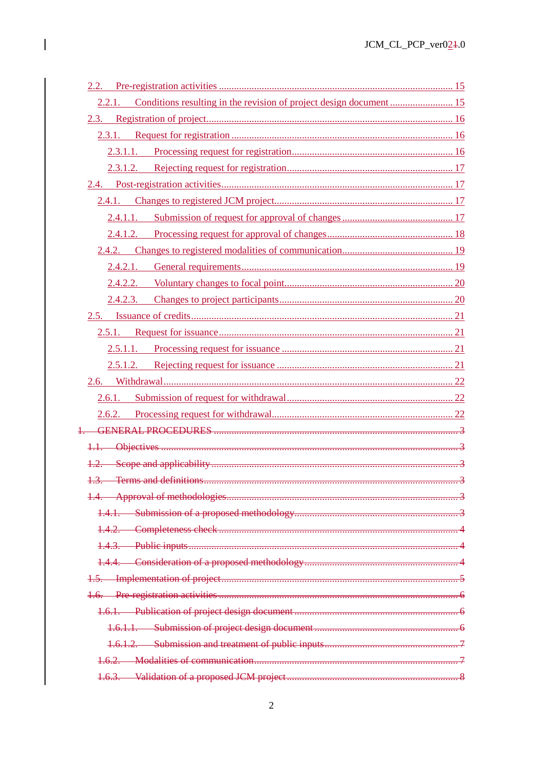| 2.2.1. Conditions resulting in the revision of project design document 15 |  |
|---------------------------------------------------------------------------|--|
|                                                                           |  |
|                                                                           |  |
|                                                                           |  |
|                                                                           |  |
|                                                                           |  |
|                                                                           |  |
|                                                                           |  |
|                                                                           |  |
|                                                                           |  |
|                                                                           |  |
|                                                                           |  |
|                                                                           |  |
|                                                                           |  |
|                                                                           |  |
|                                                                           |  |
|                                                                           |  |
|                                                                           |  |
|                                                                           |  |
|                                                                           |  |
|                                                                           |  |
|                                                                           |  |
|                                                                           |  |
|                                                                           |  |
|                                                                           |  |
|                                                                           |  |
|                                                                           |  |
|                                                                           |  |
|                                                                           |  |
|                                                                           |  |
|                                                                           |  |
|                                                                           |  |
|                                                                           |  |
|                                                                           |  |
|                                                                           |  |
|                                                                           |  |
|                                                                           |  |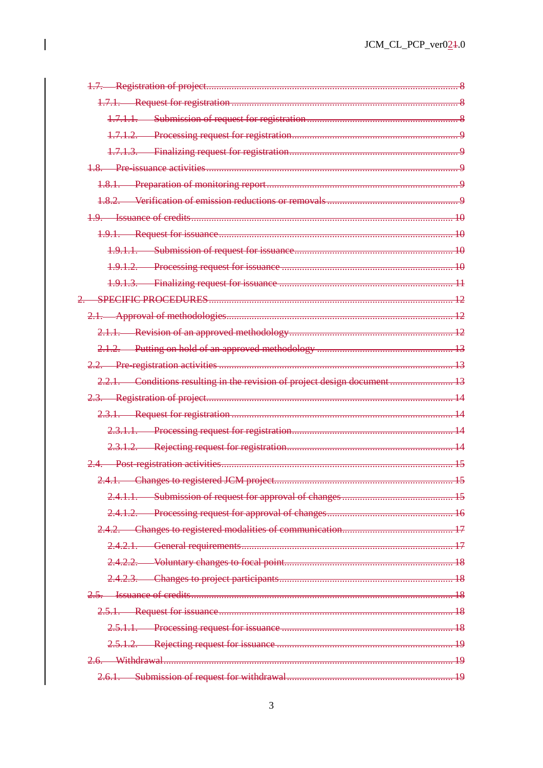| 2.2.1. Conditions resulting in the revision of project design document 13 |  |
|---------------------------------------------------------------------------|--|
|                                                                           |  |
|                                                                           |  |
|                                                                           |  |
|                                                                           |  |
|                                                                           |  |
|                                                                           |  |
|                                                                           |  |
|                                                                           |  |
|                                                                           |  |
|                                                                           |  |
|                                                                           |  |
|                                                                           |  |
|                                                                           |  |
|                                                                           |  |
|                                                                           |  |
|                                                                           |  |
|                                                                           |  |
|                                                                           |  |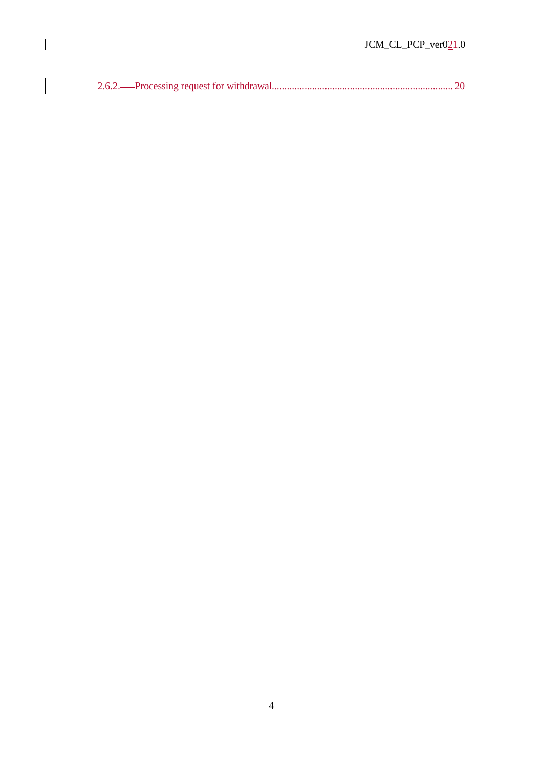2.6.2. Processing request for withdrawal........................................................................ 20

 $\overline{\phantom{a}}$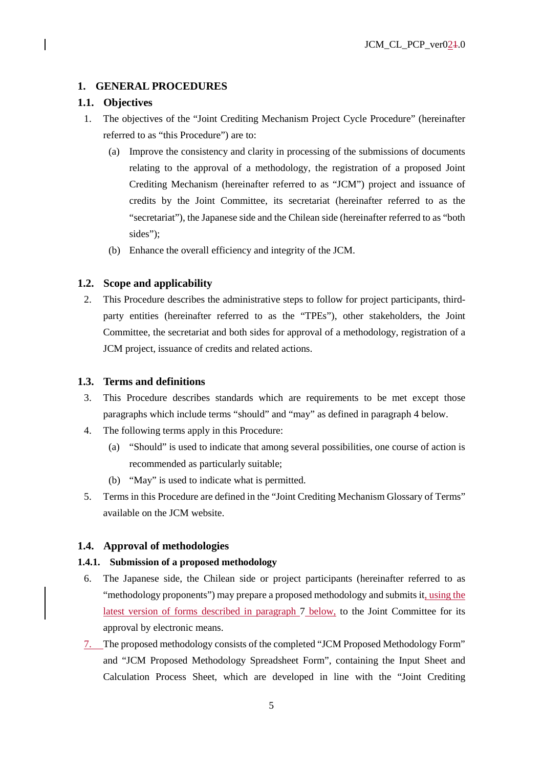# **1. GENERAL PROCEDURES**

# **1.1. Objectives**

- 1. The objectives of the "Joint Crediting Mechanism Project Cycle Procedure" (hereinafter referred to as "this Procedure") are to:
	- (a) Improve the consistency and clarity in processing of the submissions of documents relating to the approval of a methodology, the registration of a proposed Joint Crediting Mechanism (hereinafter referred to as "JCM") project and issuance of credits by the Joint Committee, its secretariat (hereinafter referred to as the "secretariat"), the Japanese side and the Chilean side (hereinafter referred to as "both sides");
	- (b) Enhance the overall efficiency and integrity of the JCM.

# **1.2. Scope and applicability**

2. This Procedure describes the administrative steps to follow for project participants, thirdparty entities (hereinafter referred to as the "TPEs"), other stakeholders, the Joint Committee, the secretariat and both sides for approval of a methodology, registration of a JCM project, issuance of credits and related actions.

# **1.3. Terms and definitions**

- 3. This Procedure describes standards which are requirements to be met except those paragraphs which include terms "should" and "may" as defined in paragraph 4 below.
- 4. The following terms apply in this Procedure:
	- (a) "Should" is used to indicate that among several possibilities, one course of action is recommended as particularly suitable;
	- (b) "May" is used to indicate what is permitted.
- 5. Terms in this Procedure are defined in the "Joint Crediting Mechanism Glossary of Terms" available on the JCM website.

# **1.4. Approval of methodologies**

## **1.4.1. Submission of a proposed methodology**

- 6. The Japanese side, the Chilean side or project participants (hereinafter referred to as "methodology proponents") may prepare a proposed methodology and submits it, using the latest version of forms described in paragraph 7 below, to the Joint Committee for its approval by electronic means.
- 7. The proposed methodology consists of the completed "JCM Proposed Methodology Form" and "JCM Proposed Methodology Spreadsheet Form", containing the Input Sheet and Calculation Process Sheet, which are developed in line with the "Joint Crediting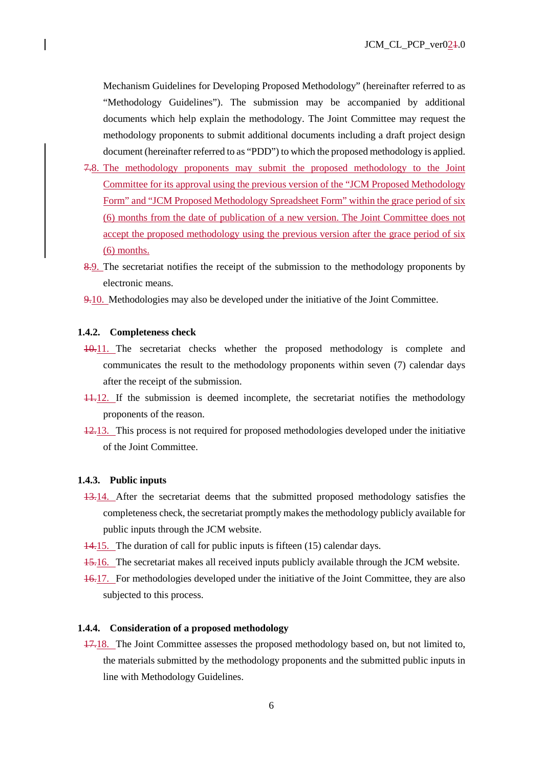Mechanism Guidelines for Developing Proposed Methodology" (hereinafter referred to as "Methodology Guidelines"). The submission may be accompanied by additional documents which help explain the methodology. The Joint Committee may request the methodology proponents to submit additional documents including a draft project design document (hereinafter referred to as "PDD") to which the proposed methodology is applied.

- 7.8. The methodology proponents may submit the proposed methodology to the Joint Committee for its approval using the previous version of the "JCM Proposed Methodology Form" and "JCM Proposed Methodology Spreadsheet Form" within the grace period of six (6) months from the date of publication of a new version. The Joint Committee does not accept the proposed methodology using the previous version after the grace period of six (6) months.
- 8.9. The secretariat notifies the receipt of the submission to the methodology proponents by electronic means.
- 9.10. Methodologies may also be developed under the initiative of the Joint Committee.

#### **1.4.2. Completeness check**

- 10.11. The secretariat checks whether the proposed methodology is complete and communicates the result to the methodology proponents within seven (7) calendar days after the receipt of the submission.
- 11.12. If the submission is deemed incomplete, the secretariat notifies the methodology proponents of the reason.
- 12.13. This process is not required for proposed methodologies developed under the initiative of the Joint Committee.

### **1.4.3. Public inputs**

- 13.14. After the secretariat deems that the submitted proposed methodology satisfies the completeness check, the secretariat promptly makes the methodology publicly available for public inputs through the JCM website.
- 14.15. The duration of call for public inputs is fifteen (15) calendar days.
- 15.16. The secretariat makes all received inputs publicly available through the JCM website.
- 16.17. For methodologies developed under the initiative of the Joint Committee, they are also subjected to this process.

### **1.4.4. Consideration of a proposed methodology**

17.18. The Joint Committee assesses the proposed methodology based on, but not limited to, the materials submitted by the methodology proponents and the submitted public inputs in line with Methodology Guidelines.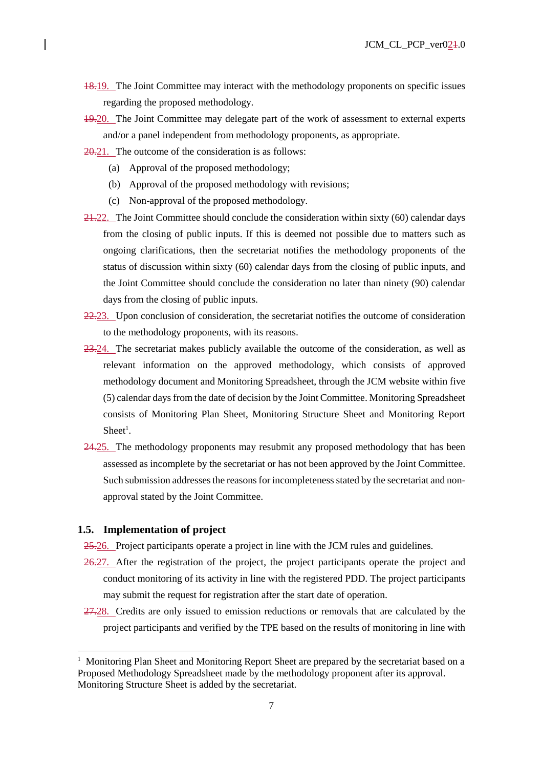- 18.19. The Joint Committee may interact with the methodology proponents on specific issues regarding the proposed methodology.
- 19.20. The Joint Committee may delegate part of the work of assessment to external experts and/or a panel independent from methodology proponents, as appropriate.
- 20.21. The outcome of the consideration is as follows:
	- (a) Approval of the proposed methodology;
	- (b) Approval of the proposed methodology with revisions;
	- (c) Non-approval of the proposed methodology.
- 21.22. The Joint Committee should conclude the consideration within sixty (60) calendar days from the closing of public inputs. If this is deemed not possible due to matters such as ongoing clarifications, then the secretariat notifies the methodology proponents of the status of discussion within sixty (60) calendar days from the closing of public inputs, and the Joint Committee should conclude the consideration no later than ninety (90) calendar days from the closing of public inputs.
- $22.23$ . Upon conclusion of consideration, the secretariat notifies the outcome of consideration to the methodology proponents, with its reasons.
- 23.24. The secretariat makes publicly available the outcome of the consideration, as well as relevant information on the approved methodology, which consists of approved methodology document and Monitoring Spreadsheet, through the JCM website within five (5) calendar days from the date of decision by the Joint Committee. Monitoring Spreadsheet consists of Monitoring Plan Sheet, Monitoring Structure Sheet and Monitoring Report  $Sheet<sup>1</sup>$ .
- 24.25. The methodology proponents may resubmit any proposed methodology that has been assessed as incomplete by the secretariat or has not been approved by the Joint Committee. Such submission addresses the reasons for incompleteness stated by the secretariat and nonapproval stated by the Joint Committee.

### **1.5. Implementation of project**

-

- 25.26. Project participants operate a project in line with the JCM rules and guidelines.
- 26.27. After the registration of the project, the project participants operate the project and conduct monitoring of its activity in line with the registered PDD. The project participants may submit the request for registration after the start date of operation.
- 27.28. Credits are only issued to emission reductions or removals that are calculated by the project participants and verified by the TPE based on the results of monitoring in line with

<sup>&</sup>lt;sup>1</sup> Monitoring Plan Sheet and Monitoring Report Sheet are prepared by the secretariat based on a Proposed Methodology Spreadsheet made by the methodology proponent after its approval. Monitoring Structure Sheet is added by the secretariat.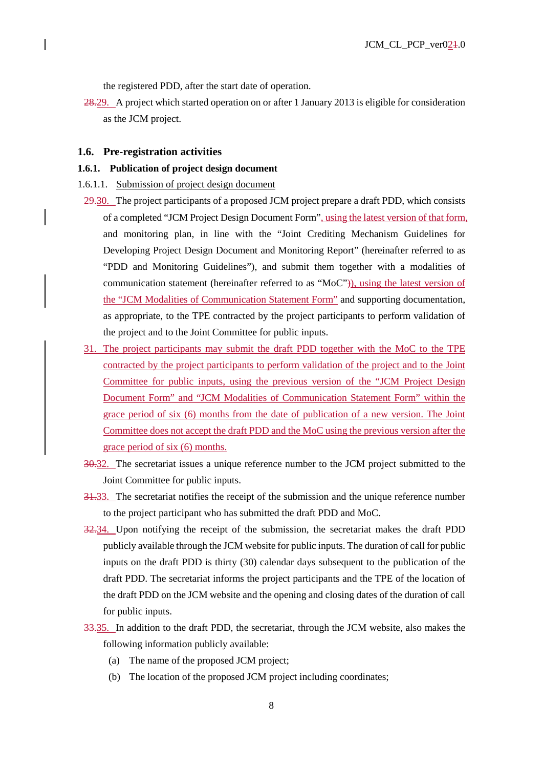the registered PDD, after the start date of operation.

28.29. A project which started operation on or after 1 January 2013 is eligible for consideration as the JCM project.

#### **1.6. Pre-registration activities**

#### **1.6.1. Publication of project design document**

- 1.6.1.1. Submission of project design document
- 29.30. The project participants of a proposed JCM project prepare a draft PDD, which consists of a completed "JCM Project Design Document Form", using the latest version of that form, and monitoring plan, in line with the "Joint Crediting Mechanism Guidelines for Developing Project Design Document and Monitoring Report" (hereinafter referred to as "PDD and Monitoring Guidelines"), and submit them together with a modalities of communication statement (hereinafter referred to as "MoC")), using the latest version of the "JCM Modalities of Communication Statement Form" and supporting documentation, as appropriate, to the TPE contracted by the project participants to perform validation of the project and to the Joint Committee for public inputs.
- 31. The project participants may submit the draft PDD together with the MoC to the TPE contracted by the project participants to perform validation of the project and to the Joint Committee for public inputs, using the previous version of the "JCM Project Design Document Form" and "JCM Modalities of Communication Statement Form" within the grace period of six (6) months from the date of publication of a new version. The Joint Committee does not accept the draft PDD and the MoC using the previous version after the grace period of six (6) months.
- 30.32. The secretariat issues a unique reference number to the JCM project submitted to the Joint Committee for public inputs.
- 31.33. The secretariat notifies the receipt of the submission and the unique reference number to the project participant who has submitted the draft PDD and MoC.
- 32.34. Upon notifying the receipt of the submission, the secretariat makes the draft PDD publicly available through the JCM website for public inputs. The duration of call for public inputs on the draft PDD is thirty (30) calendar days subsequent to the publication of the draft PDD. The secretariat informs the project participants and the TPE of the location of the draft PDD on the JCM website and the opening and closing dates of the duration of call for public inputs.
- 33.35. In addition to the draft PDD, the secretariat, through the JCM website, also makes the following information publicly available:
	- (a) The name of the proposed JCM project;
	- (b) The location of the proposed JCM project including coordinates;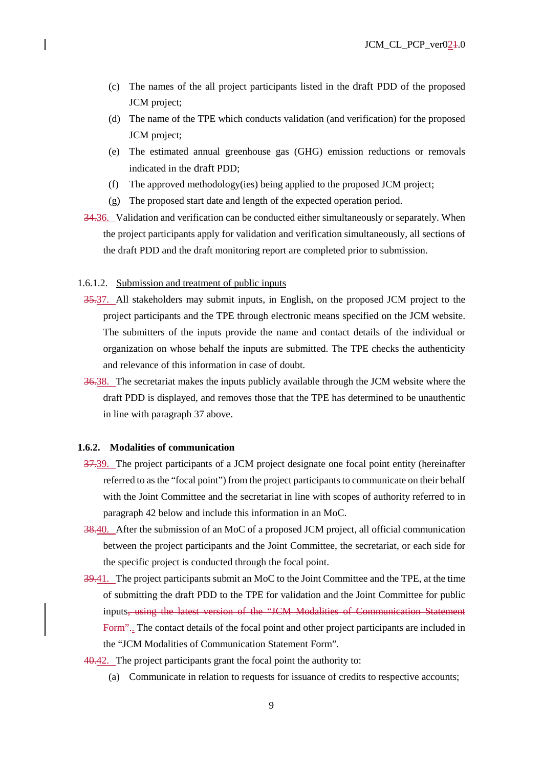- (c) The names of the all project participants listed in the draft PDD of the proposed JCM project;
- (d) The name of the TPE which conducts validation (and verification) for the proposed JCM project;
- (e) The estimated annual greenhouse gas (GHG) emission reductions or removals indicated in the draft PDD;
- (f) The approved methodology(ies) being applied to the proposed JCM project;
- (g) The proposed start date and length of the expected operation period.
- 34.36. Validation and verification can be conducted either simultaneously or separately. When the project participants apply for validation and verification simultaneously, all sections of the draft PDD and the draft monitoring report are completed prior to submission.

### 1.6.1.2. Submission and treatment of public inputs

- 35.37. All stakeholders may submit inputs, in English, on the proposed JCM project to the project participants and the TPE through electronic means specified on the JCM website. The submitters of the inputs provide the name and contact details of the individual or organization on whose behalf the inputs are submitted. The TPE checks the authenticity and relevance of this information in case of doubt.
- 36.38. The secretariat makes the inputs publicly available through the JCM website where the draft PDD is displayed, and removes those that the TPE has determined to be unauthentic in line with paragraph 37 above.

### **1.6.2. Modalities of communication**

- 37.39. The project participants of a JCM project designate one focal point entity (hereinafter referred to as the "focal point") from the project participants to communicate on their behalf with the Joint Committee and the secretariat in line with scopes of authority referred to in paragraph 42 below and include this information in an MoC.
- 38.40. After the submission of an MoC of a proposed JCM project, all official communication between the project participants and the Joint Committee, the secretariat, or each side for the specific project is conducted through the focal point.
- 39.41. The project participants submit an MoC to the Joint Committee and the TPE, at the time of submitting the draft PDD to the TPE for validation and the Joint Committee for public inputs, using the latest version of the "JCM Modalities of Communication Statement Form". The contact details of the focal point and other project participants are included in the "JCM Modalities of Communication Statement Form".
- 40.42. The project participants grant the focal point the authority to:
	- (a) Communicate in relation to requests for issuance of credits to respective accounts;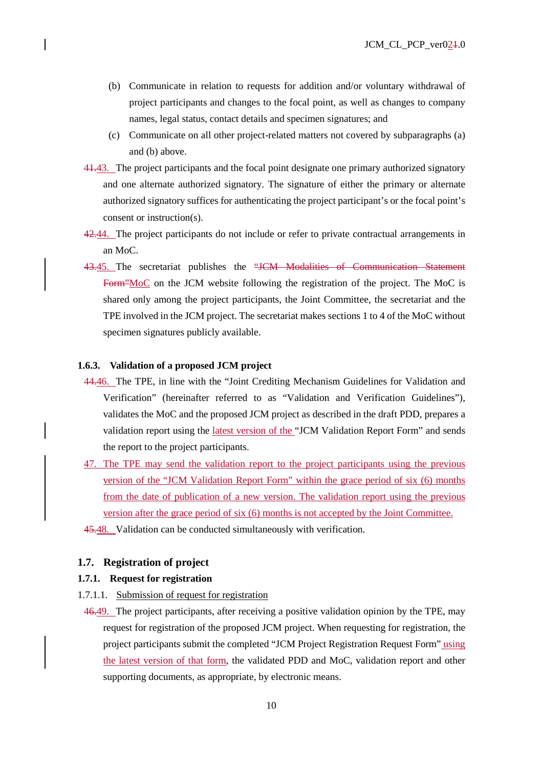- (b) Communicate in relation to requests for addition and/or voluntary withdrawal of project participants and changes to the focal point, as well as changes to company names, legal status, contact details and specimen signatures; and
- (c) Communicate on all other project-related matters not covered by subparagraphs (a) and (b) above.
- 41.43. The project participants and the focal point designate one primary authorized signatory and one alternate authorized signatory. The signature of either the primary or alternate authorized signatory suffices for authenticating the project participant's or the focal point's consent or instruction(s).
- 42.44. The project participants do not include or refer to private contractual arrangements in an MoC.
- 43.45. The secretariat publishes the "JCM Modalities of Communication Statement Form"MoC on the JCM website following the registration of the project. The MoC is shared only among the project participants, the Joint Committee, the secretariat and the TPE involved in the JCM project. The secretariat makes sections 1 to 4 of the MoC without specimen signatures publicly available.

# **1.6.3. Validation of a proposed JCM project**

- 44.46. The TPE, in line with the "Joint Crediting Mechanism Guidelines for Validation and Verification" (hereinafter referred to as "Validation and Verification Guidelines"), validates the MoC and the proposed JCM project as described in the draft PDD, prepares a validation report using the latest version of the "JCM Validation Report Form" and sends the report to the project participants.
- 47. The TPE may send the validation report to the project participants using the previous version of the "JCM Validation Report Form" within the grace period of six (6) months from the date of publication of a new version. The validation report using the previous version after the grace period of six (6) months is not accepted by the Joint Committee.
- 45.48. Validation can be conducted simultaneously with verification.

# **1.7. Registration of project**

### **1.7.1. Request for registration**

- 1.7.1.1. Submission of request for registration
- 46.49. The project participants, after receiving a positive validation opinion by the TPE, may request for registration of the proposed JCM project. When requesting for registration, the project participants submit the completed "JCM Project Registration Request Form" using the latest version of that form, the validated PDD and MoC, validation report and other supporting documents, as appropriate, by electronic means.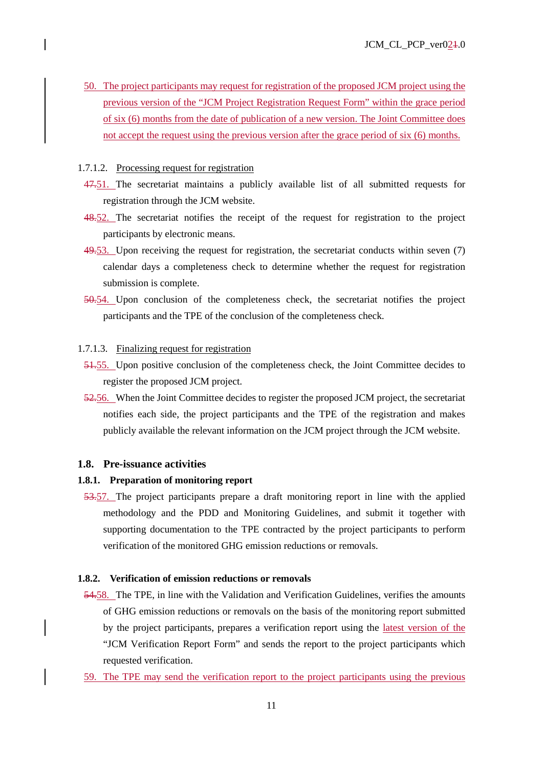50. The project participants may request for registration of the proposed JCM project using the previous version of the "JCM Project Registration Request Form" within the grace period of six (6) months from the date of publication of a new version. The Joint Committee does not accept the request using the previous version after the grace period of six (6) months.

### 1.7.1.2. Processing request for registration

- 47.51. The secretariat maintains a publicly available list of all submitted requests for registration through the JCM website.
- 48.52. The secretariat notifies the receipt of the request for registration to the project participants by electronic means.
- 49.53. Upon receiving the request for registration, the secretariat conducts within seven (7) calendar days a completeness check to determine whether the request for registration submission is complete.
- 50.54. Upon conclusion of the completeness check, the secretariat notifies the project participants and the TPE of the conclusion of the completeness check.

### 1.7.1.3. Finalizing request for registration

- 51.55. Upon positive conclusion of the completeness check, the Joint Committee decides to register the proposed JCM project.
- 52.56. When the Joint Committee decides to register the proposed JCM project, the secretariat notifies each side, the project participants and the TPE of the registration and makes publicly available the relevant information on the JCM project through the JCM website.

# **1.8. Pre-issuance activities**

# **1.8.1. Preparation of monitoring report**

53.57. The project participants prepare a draft monitoring report in line with the applied methodology and the PDD and Monitoring Guidelines, and submit it together with supporting documentation to the TPE contracted by the project participants to perform verification of the monitored GHG emission reductions or removals.

### **1.8.2. Verification of emission reductions or removals**

- 54.58. The TPE, in line with the Validation and Verification Guidelines, verifies the amounts of GHG emission reductions or removals on the basis of the monitoring report submitted by the project participants, prepares a verification report using the latest version of the "JCM Verification Report Form" and sends the report to the project participants which requested verification.
- 59. The TPE may send the verification report to the project participants using the previous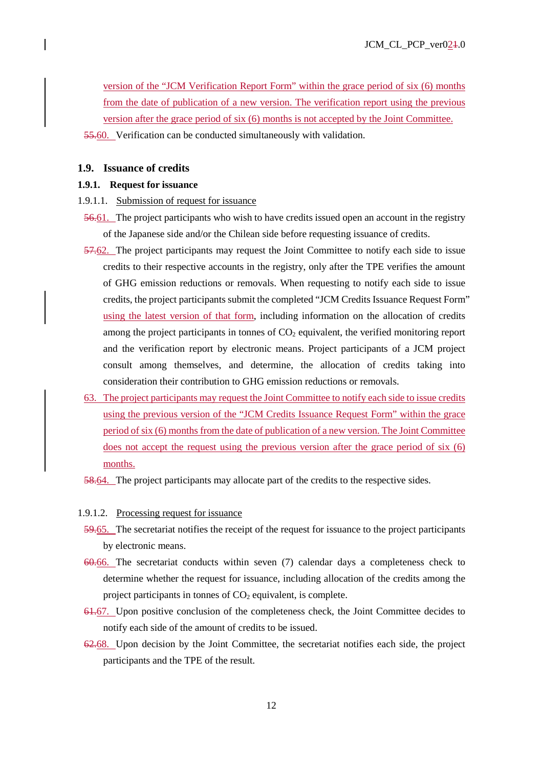version of the "JCM Verification Report Form" within the grace period of six (6) months from the date of publication of a new version. The verification report using the previous version after the grace period of six (6) months is not accepted by the Joint Committee.

55.60. Verification can be conducted simultaneously with validation.

### **1.9. Issuance of credits**

# **1.9.1. Request for issuance**

- 1.9.1.1. Submission of request for issuance
	- 56.61. The project participants who wish to have credits issued open an account in the registry of the Japanese side and/or the Chilean side before requesting issuance of credits.
- 57.62. The project participants may request the Joint Committee to notify each side to issue credits to their respective accounts in the registry, only after the TPE verifies the amount of GHG emission reductions or removals. When requesting to notify each side to issue credits, the project participants submit the completed "JCM Credits Issuance Request Form" using the latest version of that form, including information on the allocation of credits among the project participants in tonnes of  $CO<sub>2</sub>$  equivalent, the verified monitoring report and the verification report by electronic means. Project participants of a JCM project consult among themselves, and determine, the allocation of credits taking into consideration their contribution to GHG emission reductions or removals.
- 63. The project participants may request the Joint Committee to notify each side to issue credits using the previous version of the "JCM Credits Issuance Request Form" within the grace period of six (6) months from the date of publication of a new version. The Joint Committee does not accept the request using the previous version after the grace period of six (6) months.
- 58.64. The project participants may allocate part of the credits to the respective sides.
- 1.9.1.2. Processing request for issuance
- 59.65. The secretariat notifies the receipt of the request for issuance to the project participants by electronic means.
- 60.66. The secretariat conducts within seven (7) calendar days a completeness check to determine whether the request for issuance, including allocation of the credits among the project participants in tonnes of  $CO<sub>2</sub>$  equivalent, is complete.
- 61.67. Upon positive conclusion of the completeness check, the Joint Committee decides to notify each side of the amount of credits to be issued.
- 62.68. Upon decision by the Joint Committee, the secretariat notifies each side, the project participants and the TPE of the result.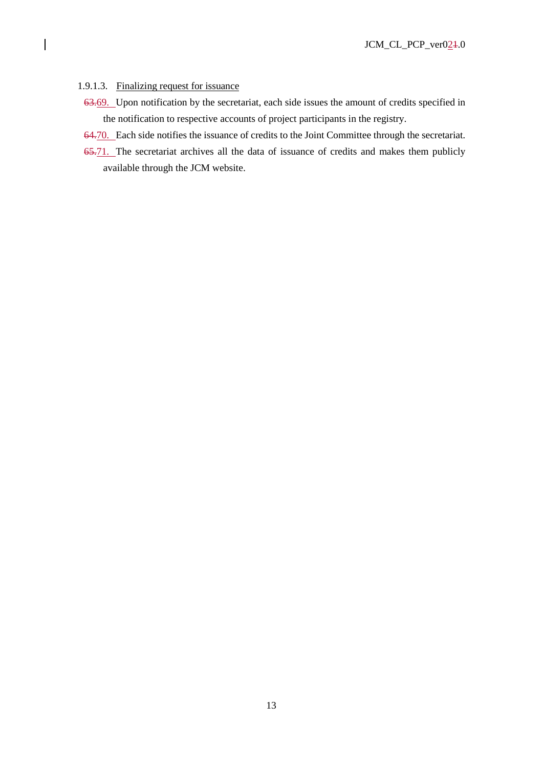# 1.9.1.3. Finalizing request for issuance

- 63.69. Upon notification by the secretariat, each side issues the amount of credits specified in the notification to respective accounts of project participants in the registry.
- 64.70. Each side notifies the issuance of credits to the Joint Committee through the secretariat.
- 65.71. The secretariat archives all the data of issuance of credits and makes them publicly available through the JCM website.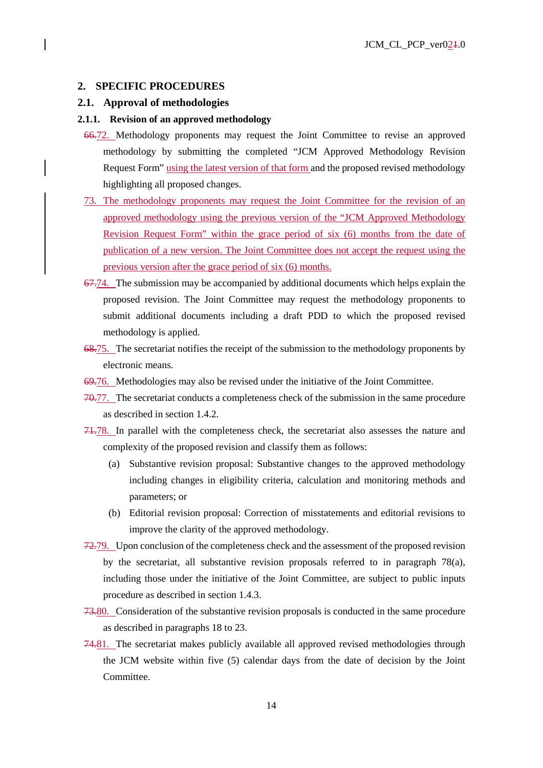# **2. SPECIFIC PROCEDURES**

### **2.1. Approval of methodologies**

### **2.1.1. Revision of an approved methodology**

- 66.72. Methodology proponents may request the Joint Committee to revise an approved methodology by submitting the completed "JCM Approved Methodology Revision Request Form" using the latest version of that form and the proposed revised methodology highlighting all proposed changes.
- 73. The methodology proponents may request the Joint Committee for the revision of an approved methodology using the previous version of the "JCM Approved Methodology Revision Request Form" within the grace period of six (6) months from the date of publication of a new version. The Joint Committee does not accept the request using the previous version after the grace period of six (6) months.
- 67.74. The submission may be accompanied by additional documents which helps explain the proposed revision. The Joint Committee may request the methodology proponents to submit additional documents including a draft PDD to which the proposed revised methodology is applied.
- 68.75. The secretariat notifies the receipt of the submission to the methodology proponents by electronic means.
- 69.76. Methodologies may also be revised under the initiative of the Joint Committee.
- 70.77. The secretariat conducts a completeness check of the submission in the same procedure as described in section 1.4.2.
- 71.78. In parallel with the completeness check, the secretariat also assesses the nature and complexity of the proposed revision and classify them as follows:
	- (a) Substantive revision proposal: Substantive changes to the approved methodology including changes in eligibility criteria, calculation and monitoring methods and parameters; or
	- (b) Editorial revision proposal: Correction of misstatements and editorial revisions to improve the clarity of the approved methodology.
- 72.79. Upon conclusion of the completeness check and the assessment of the proposed revision by the secretariat, all substantive revision proposals referred to in paragraph 78(a), including those under the initiative of the Joint Committee, are subject to public inputs procedure as described in section 1.4.3.
- 73.80. Consideration of the substantive revision proposals is conducted in the same procedure as described in paragraphs 18 to 23.
- 74.81. The secretariat makes publicly available all approved revised methodologies through the JCM website within five (5) calendar days from the date of decision by the Joint Committee.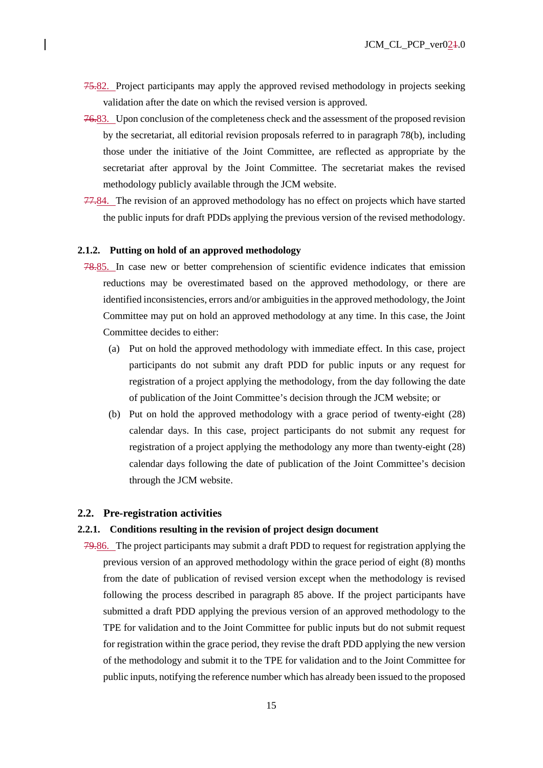- 75.82. Project participants may apply the approved revised methodology in projects seeking validation after the date on which the revised version is approved.
- 76.83. Upon conclusion of the completeness check and the assessment of the proposed revision by the secretariat, all editorial revision proposals referred to in paragraph 78(b), including those under the initiative of the Joint Committee, are reflected as appropriate by the secretariat after approval by the Joint Committee. The secretariat makes the revised methodology publicly available through the JCM website.
- 77.84. The revision of an approved methodology has no effect on projects which have started the public inputs for draft PDDs applying the previous version of the revised methodology.

### **2.1.2. Putting on hold of an approved methodology**

- 78.85. In case new or better comprehension of scientific evidence indicates that emission reductions may be overestimated based on the approved methodology, or there are identified inconsistencies, errors and/or ambiguities in the approved methodology, the Joint Committee may put on hold an approved methodology at any time. In this case, the Joint Committee decides to either:
	- (a) Put on hold the approved methodology with immediate effect. In this case, project participants do not submit any draft PDD for public inputs or any request for registration of a project applying the methodology, from the day following the date of publication of the Joint Committee's decision through the JCM website; or
	- (b) Put on hold the approved methodology with a grace period of twenty-eight (28) calendar days. In this case, project participants do not submit any request for registration of a project applying the methodology any more than twenty-eight (28) calendar days following the date of publication of the Joint Committee's decision through the JCM website.

# **2.2. Pre-registration activities**

### **2.2.1. Conditions resulting in the revision of project design document**

79.86. The project participants may submit a draft PDD to request for registration applying the previous version of an approved methodology within the grace period of eight (8) months from the date of publication of revised version except when the methodology is revised following the process described in paragraph 85 above. If the project participants have submitted a draft PDD applying the previous version of an approved methodology to the TPE for validation and to the Joint Committee for public inputs but do not submit request for registration within the grace period, they revise the draft PDD applying the new version of the methodology and submit it to the TPE for validation and to the Joint Committee for public inputs, notifying the reference number which has already been issued to the proposed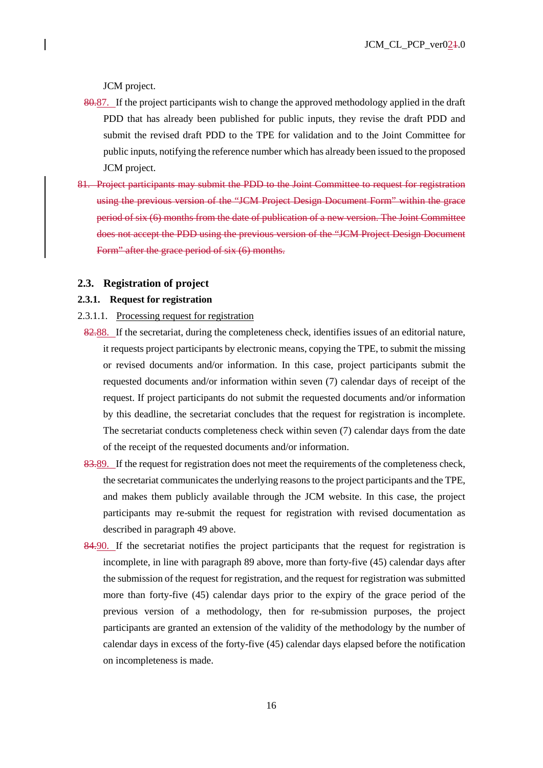JCM project.

- 80.87. If the project participants wish to change the approved methodology applied in the draft PDD that has already been published for public inputs, they revise the draft PDD and submit the revised draft PDD to the TPE for validation and to the Joint Committee for public inputs, notifying the reference number which has already been issued to the proposed JCM project.
- 81. Project participants may submit the PDD to the Joint Committee to request for registration using the previous version of the "JCM Project Design Document Form" within the grace period of six (6) months from the date of publication of a new version. The Joint Committee does not accept the PDD using the previous version of the "JCM Project Design Document Form" after the grace period of six (6) months.

### **2.3. Registration of project**

# **2.3.1. Request for registration**

- 2.3.1.1. Processing request for registration
- 82.88. If the secretariat, during the completeness check, identifies issues of an editorial nature, it requests project participants by electronic means, copying the TPE, to submit the missing or revised documents and/or information. In this case, project participants submit the requested documents and/or information within seven (7) calendar days of receipt of the request. If project participants do not submit the requested documents and/or information by this deadline, the secretariat concludes that the request for registration is incomplete. The secretariat conducts completeness check within seven (7) calendar days from the date of the receipt of the requested documents and/or information.
- 83.89. If the request for registration does not meet the requirements of the completeness check, the secretariat communicates the underlying reasons to the project participants and the TPE, and makes them publicly available through the JCM website. In this case, the project participants may re-submit the request for registration with revised documentation as described in paragraph 49 above.
- 84.90. If the secretariat notifies the project participants that the request for registration is incomplete, in line with paragraph 89 above, more than forty-five (45) calendar days after the submission of the request for registration, and the request for registration was submitted more than forty-five (45) calendar days prior to the expiry of the grace period of the previous version of a methodology, then for re-submission purposes, the project participants are granted an extension of the validity of the methodology by the number of calendar days in excess of the forty-five (45) calendar days elapsed before the notification on incompleteness is made.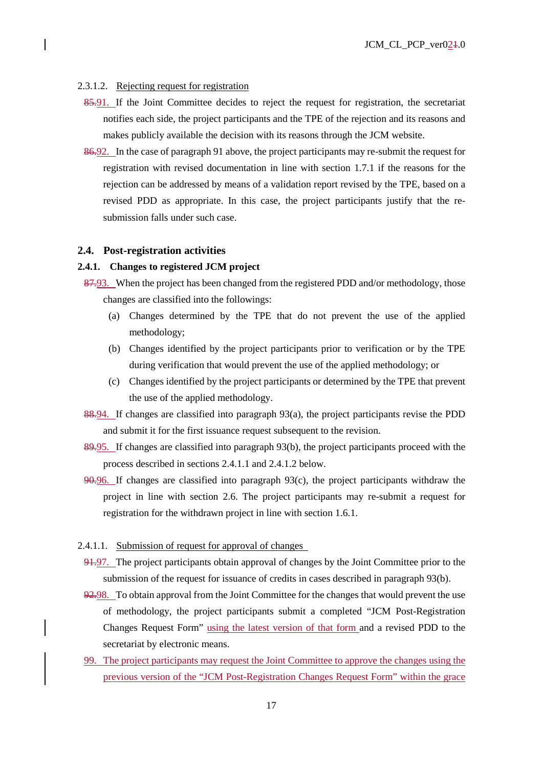### 2.3.1.2. Rejecting request for registration

- 85.91. If the Joint Committee decides to reject the request for registration, the secretariat notifies each side, the project participants and the TPE of the rejection and its reasons and makes publicly available the decision with its reasons through the JCM website.
- 86.92. In the case of paragraph 91 above, the project participants may re-submit the request for registration with revised documentation in line with section 1.7.1 if the reasons for the rejection can be addressed by means of a validation report revised by the TPE, based on a revised PDD as appropriate. In this case, the project participants justify that the resubmission falls under such case.

### **2.4. Post-registration activities**

# **2.4.1. Changes to registered JCM project**

- 87.93. When the project has been changed from the registered PDD and/or methodology, those changes are classified into the followings:
	- (a) Changes determined by the TPE that do not prevent the use of the applied methodology;
	- (b) Changes identified by the project participants prior to verification or by the TPE during verification that would prevent the use of the applied methodology; or
	- (c) Changes identified by the project participants or determined by the TPE that prevent the use of the applied methodology.
- 88.94. If changes are classified into paragraph 93(a), the project participants revise the PDD and submit it for the first issuance request subsequent to the revision.
- 89.95. If changes are classified into paragraph 93(b), the project participants proceed with the process described in sections 2.4.1.1 and 2.4.1.2 below.
- 90.96. If changes are classified into paragraph 93(c), the project participants withdraw the project in line with section 2.6. The project participants may re-submit a request for registration for the withdrawn project in line with section 1.6.1.
- 2.4.1.1. Submission of request for approval of changes
- 94.97. The project participants obtain approval of changes by the Joint Committee prior to the submission of the request for issuance of credits in cases described in paragraph 93(b).
- 92.98. To obtain approval from the Joint Committee for the changes that would prevent the use of methodology, the project participants submit a completed "JCM Post-Registration Changes Request Form" using the latest version of that form and a revised PDD to the secretariat by electronic means.
- 99. The project participants may request the Joint Committee to approve the changes using the previous version of the "JCM Post-Registration Changes Request Form" within the grace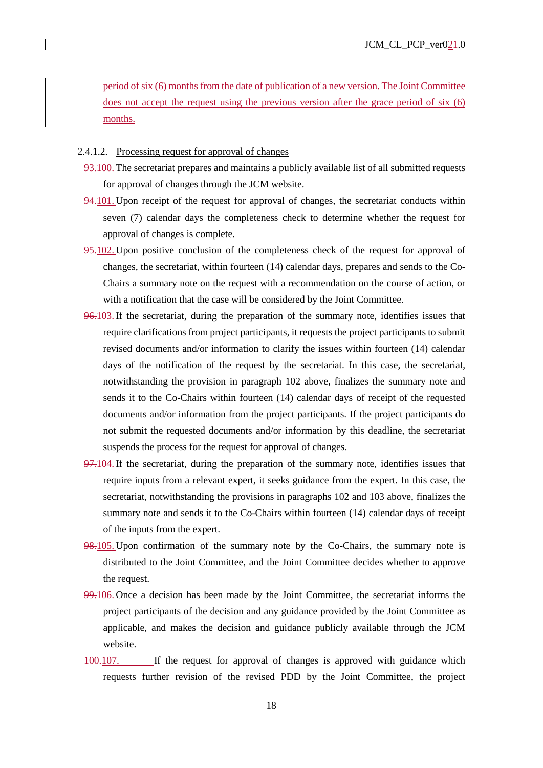period of six (6) months from the date of publication of a new version. The Joint Committee does not accept the request using the previous version after the grace period of six (6) months.

### 2.4.1.2. Processing request for approval of changes

- 93.100. The secretariat prepares and maintains a publicly available list of all submitted requests for approval of changes through the JCM website.
- 94.101. Upon receipt of the request for approval of changes, the secretariat conducts within seven (7) calendar days the completeness check to determine whether the request for approval of changes is complete.
- 95.102. Upon positive conclusion of the completeness check of the request for approval of changes, the secretariat, within fourteen (14) calendar days, prepares and sends to the Co-Chairs a summary note on the request with a recommendation on the course of action, or with a notification that the case will be considered by the Joint Committee.
- 96.103. If the secretariat, during the preparation of the summary note, identifies issues that require clarifications from project participants, it requests the project participants to submit revised documents and/or information to clarify the issues within fourteen (14) calendar days of the notification of the request by the secretariat. In this case, the secretariat, notwithstanding the provision in paragraph 102 above, finalizes the summary note and sends it to the Co-Chairs within fourteen (14) calendar days of receipt of the requested documents and/or information from the project participants. If the project participants do not submit the requested documents and/or information by this deadline, the secretariat suspends the process for the request for approval of changes.
- 97.104. If the secretariat, during the preparation of the summary note, identifies issues that require inputs from a relevant expert, it seeks guidance from the expert. In this case, the secretariat, notwithstanding the provisions in paragraphs 102 and 103 above, finalizes the summary note and sends it to the Co-Chairs within fourteen (14) calendar days of receipt of the inputs from the expert.
- 98.105. Upon confirmation of the summary note by the Co-Chairs, the summary note is distributed to the Joint Committee, and the Joint Committee decides whether to approve the request.
- 99.106. Once a decision has been made by the Joint Committee, the secretariat informs the project participants of the decision and any guidance provided by the Joint Committee as applicable, and makes the decision and guidance publicly available through the JCM website.
- 100.107. If the request for approval of changes is approved with guidance which requests further revision of the revised PDD by the Joint Committee, the project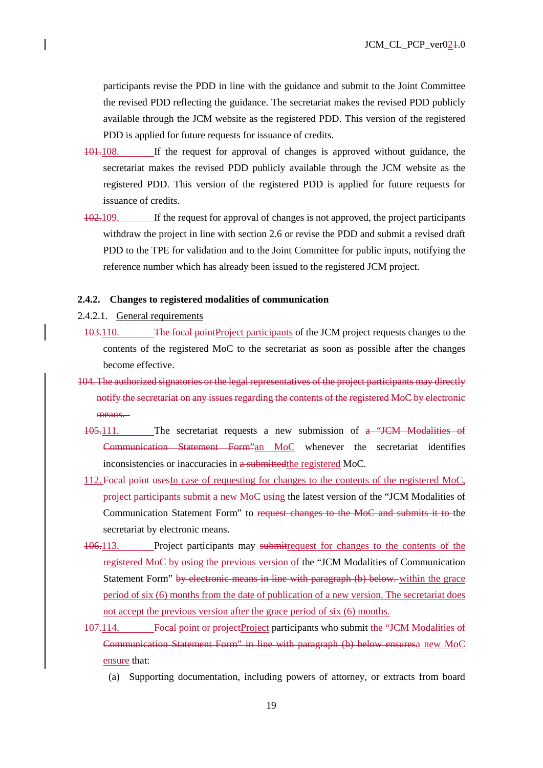participants revise the PDD in line with the guidance and submit to the Joint Committee the revised PDD reflecting the guidance. The secretariat makes the revised PDD publicly available through the JCM website as the registered PDD. This version of the registered PDD is applied for future requests for issuance of credits.

- 101.108. If the request for approval of changes is approved without guidance, the secretariat makes the revised PDD publicly available through the JCM website as the registered PDD. This version of the registered PDD is applied for future requests for issuance of credits.
- 102.109. If the request for approval of changes is not approved, the project participants withdraw the project in line with section 2.6 or revise the PDD and submit a revised draft PDD to the TPE for validation and to the Joint Committee for public inputs, notifying the reference number which has already been issued to the registered JCM project.

### **2.4.2. Changes to registered modalities of communication**

- 2.4.2.1. General requirements
- 103.110. The focal pointProject participants of the JCM project requests changes to the contents of the registered MoC to the secretariat as soon as possible after the changes become effective.
- 104.The authorized signatories or the legal representatives of the project participants may directly notify the secretariat on any issues regarding the contents of the registered MoC by electronic means.
	- 105.111. The secretariat requests a new submission of a "JCM Modalities of Communication Statement Form"an MoC whenever the secretariat identifies inconsistencies or inaccuracies in a submitted the registered MoC.
	- 112. Focal point usesIn case of requesting for changes to the contents of the registered MoC, project participants submit a new MoC using the latest version of the "JCM Modalities of Communication Statement Form" to request changes to the MoC and submits it to the secretariat by electronic means.
	- 106.113. Project participants may submitrequest for changes to the contents of the registered MoC by using the previous version of the "JCM Modalities of Communication Statement Form" by electronic means in line with paragraph (b) below. within the grace period of six (6) months from the date of publication of a new version. The secretariat does not accept the previous version after the grace period of six (6) months.
	- 107.114. Focal point or projectProject participants who submit the "JCM Modalities of Communication Statement Form" in line with paragraph (b) below ensuresa new MoC ensure that:
		- (a) Supporting documentation, including powers of attorney, or extracts from board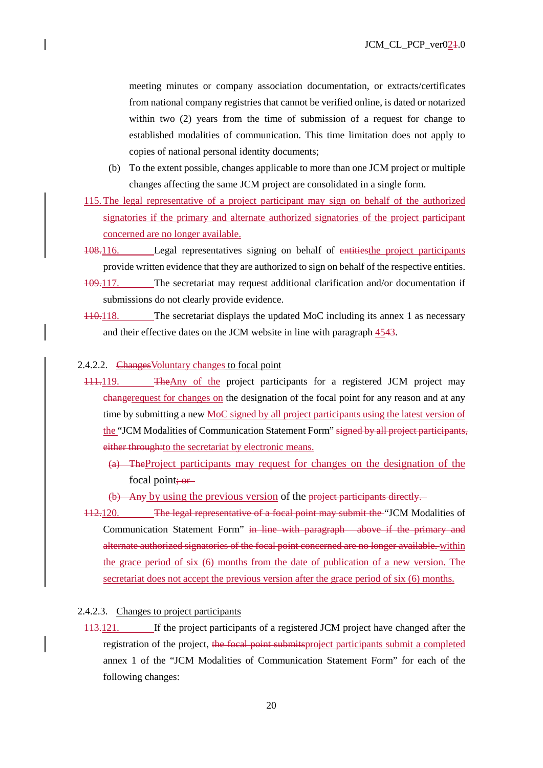meeting minutes or company association documentation, or extracts/certificates from national company registries that cannot be verified online, is dated or notarized within two (2) years from the time of submission of a request for change to established modalities of communication. This time limitation does not apply to copies of national personal identity documents;

- (b) To the extent possible, changes applicable to more than one JCM project or multiple changes affecting the same JCM project are consolidated in a single form.
- 115.The legal representative of a project participant may sign on behalf of the authorized signatories if the primary and alternate authorized signatories of the project participant concerned are no longer available.
- 108.116. Legal representatives signing on behalf of entitiesthe project participants provide written evidence that they are authorized to sign on behalf of the respective entities.
- 109.117. The secretariat may request additional clarification and/or documentation if submissions do not clearly provide evidence.
- 110.118. The secretariat displays the updated MoC including its annex 1 as necessary and their effective dates on the JCM website in line with paragraph 4543.

# 2.4.2.2. Changes Voluntary changes to focal point

- 111.119. The Any of the project participants for a registered JCM project may changer equest for changes on the designation of the focal point for any reason and at any time by submitting a new MoC signed by all project participants using the latest version of the "JCM Modalities of Communication Statement Form" signed by all project participants, either through: to the secretariat by electronic means.
	- (a) TheProject participants may request for changes on the designation of the focal point: or-
	- (b) Any by using the previous version of the project participants directly.
- 112.120. The legal representative of a focal point may submit the "JCM Modalities of Communication Statement Form" in line with paragraph above if the primary and alternate authorized signatories of the focal point concerned are no longer available. within the grace period of six (6) months from the date of publication of a new version. The secretariat does not accept the previous version after the grace period of six (6) months.

## 2.4.2.3. Changes to project participants

113.121. If the project participants of a registered JCM project have changed after the registration of the project, the focal point submitsproject participants submit a completed annex 1 of the "JCM Modalities of Communication Statement Form" for each of the following changes: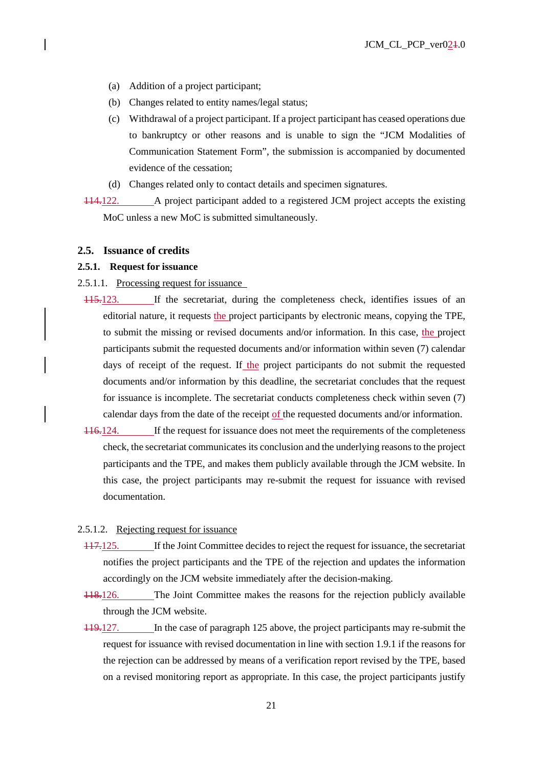- (a) Addition of a project participant;
- (b) Changes related to entity names/legal status;
- (c) Withdrawal of a project participant. If a project participant has ceased operations due to bankruptcy or other reasons and is unable to sign the "JCM Modalities of Communication Statement Form", the submission is accompanied by documented evidence of the cessation;
- (d) Changes related only to contact details and specimen signatures.
- 114.122. A project participant added to a registered JCM project accepts the existing MoC unless a new MoC is submitted simultaneously.

### **2.5. Issuance of credits**

#### **2.5.1. Request for issuance**

- 2.5.1.1. Processing request for issuance
- 115.123. If the secretariat, during the completeness check, identifies issues of an editorial nature, it requests the project participants by electronic means, copying the TPE, to submit the missing or revised documents and/or information. In this case, the project participants submit the requested documents and/or information within seven (7) calendar days of receipt of the request. If the project participants do not submit the requested documents and/or information by this deadline, the secretariat concludes that the request for issuance is incomplete. The secretariat conducts completeness check within seven (7) calendar days from the date of the receipt of the requested documents and/or information.
- 116.124. If the request for issuance does not meet the requirements of the completeness check, the secretariat communicates its conclusion and the underlying reasons to the project participants and the TPE, and makes them publicly available through the JCM website. In this case, the project participants may re-submit the request for issuance with revised documentation.

# 2.5.1.2. Rejecting request for issuance

- 117.125. If the Joint Committee decides to reject the request for issuance, the secretariat notifies the project participants and the TPE of the rejection and updates the information accordingly on the JCM website immediately after the decision-making.
- 118.126. The Joint Committee makes the reasons for the rejection publicly available through the JCM website.
- 119.127. In the case of paragraph 125 above, the project participants may re-submit the request for issuance with revised documentation in line with section 1.9.1 if the reasons for the rejection can be addressed by means of a verification report revised by the TPE, based on a revised monitoring report as appropriate. In this case, the project participants justify